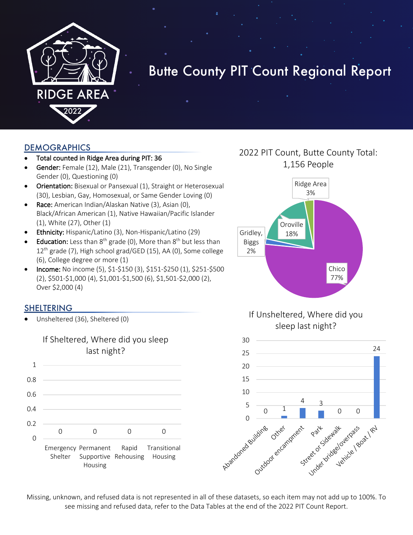

# Butte County PIT Count Regional Report

#### **DEMOGRAPHICS**

- Total counted in Ridge Area during PIT: 36
- Gender: Female (12), Male (21), Transgender (0), No Single Gender (0), Questioning (0)
- Orientation: Bisexual or Pansexual (1), Straight or Heterosexual (30), Lesbian, Gay, Homosexual, or Same Gender Loving (0)
- Race: American Indian/Alaskan Native (3), Asian (0), Black/African American (1), Native Hawaiian/Pacific Islander (1), White (27), Other (1)
- Ethnicity: Hispanic/Latino (3), Non-Hispanic/Latino (29)
- **Education:** Less than  $8^{th}$  grade (0), More than  $8^{th}$  but less than 12<sup>th</sup> grade (7), High school grad/GED (15), AA (0), Some college (6), College degree or more (1)
- Income: No income (5), \$1-\$150 (3), \$151-\$250 (1), \$251-\$500 (2), \$501-\$1,000 (4), \$1,001-\$1,500 (6), \$1,501-\$2,000 (2), Over \$2,000 (4)

#### SHELTERING

• Unsheltered (36), Sheltered (0)



# 2022 PIT Count, Butte County Total: 1,156 People



### If Unsheltered, Where did you sleep last night?



Missing, unknown, and refused data is not represented in all of these datasets, so each item may not add up to 100%. To see missing and refused data, refer to the Data Tables at the end of the 2022 PIT Count Report.